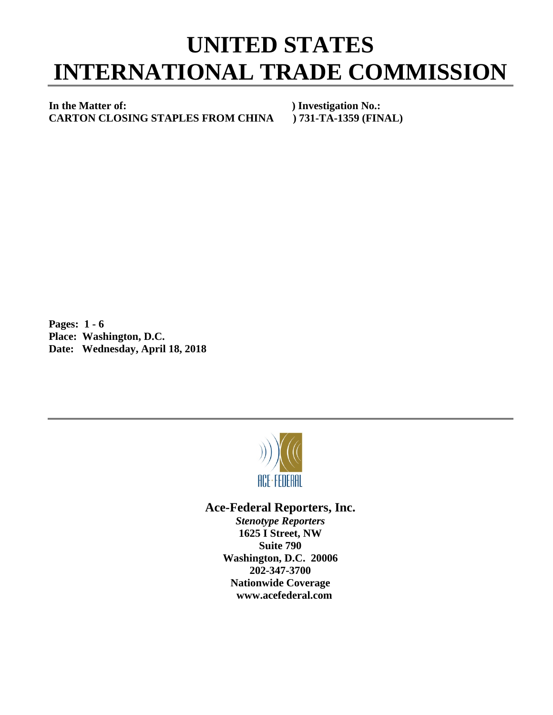## **UNITED STATES INTERNATIONAL TRADE COMMISSION**

**In the Matter of: ) Investigation No.: CARTON CLOSING STAPLES FROM CHINA ) 731-TA-1359 (FINAL)**

**Pages: 1 - 6 Place: Washington, D.C. Date: Wednesday, April 18, 2018**



## **Ace-Federal Reporters, Inc.**

*Stenotype Reporters* **1625 I Street, NW Suite 790 Washington, D.C. 20006 202-347-3700 Nationwide Coverage www.acefederal.com**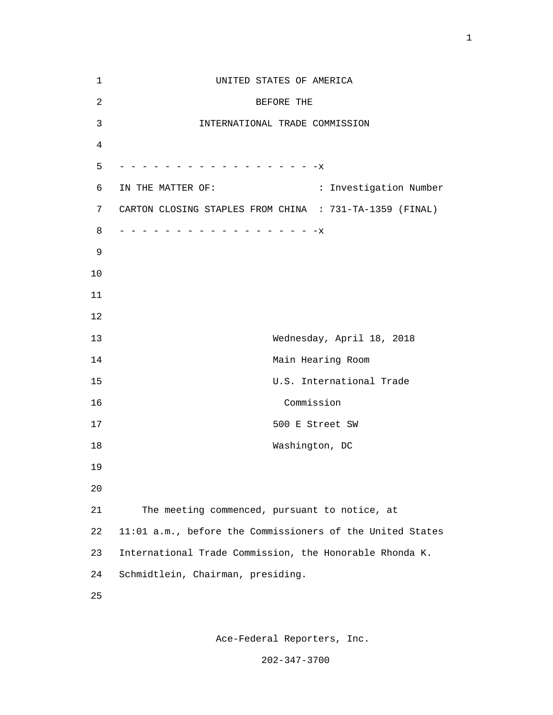| 1              | UNITED STATES OF AMERICA                                  |
|----------------|-----------------------------------------------------------|
| $\overline{c}$ | BEFORE THE                                                |
| 3              | INTERNATIONAL TRADE COMMISSION                            |
| 4              |                                                           |
| 5              | - - - - - - - - - - - - - - - X                           |
| 6              | : Investigation Number<br>IN THE MATTER OF:               |
| 7              | CARTON CLOSING STAPLES FROM CHINA : 731-TA-1359 (FINAL)   |
| 8              | $-$ - - - - - - - - - - - - - X                           |
| 9              |                                                           |
| 10             |                                                           |
| 11             |                                                           |
| 12             |                                                           |
| 13             | Wednesday, April 18, 2018                                 |
| 14             | Main Hearing Room                                         |
| 15             | U.S. International Trade                                  |
| 16             | Commission                                                |
| 17             | 500 E Street SW                                           |
| 18             | Washington, DC                                            |
| 19             |                                                           |
| 20             |                                                           |
| 21             | The meeting commenced, pursuant to notice, at             |
| 22             | 11:01 a.m., before the Commissioners of the United States |
| 23             | International Trade Commission, the Honorable Rhonda K.   |
| 24             | Schmidtlein, Chairman, presiding.                         |
| 25             |                                                           |

Ace-Federal Reporters, Inc.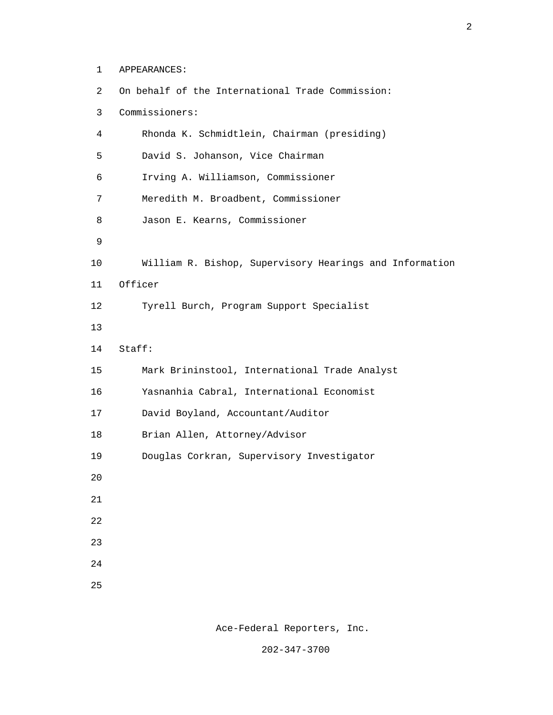1 APPEARANCES:

| 2  | On behalf of the International Trade Commission:        |
|----|---------------------------------------------------------|
| 3  | Commissioners:                                          |
| 4  | Rhonda K. Schmidtlein, Chairman (presiding)             |
| 5  | David S. Johanson, Vice Chairman                        |
| 6  | Irving A. Williamson, Commissioner                      |
| 7  | Meredith M. Broadbent, Commissioner                     |
| 8  | Jason E. Kearns, Commissioner                           |
| 9  |                                                         |
| 10 | William R. Bishop, Supervisory Hearings and Information |
| 11 | Officer                                                 |
| 12 | Tyrell Burch, Program Support Specialist                |
| 13 |                                                         |
| 14 | Staff:                                                  |
| 15 | Mark Brininstool, International Trade Analyst           |
| 16 | Yasnanhia Cabral, International Economist               |
| 17 | David Boyland, Accountant/Auditor                       |
| 18 | Brian Allen, Attorney/Advisor                           |
| 19 | Douglas Corkran, Supervisory Investigator               |
| 20 |                                                         |
| 21 |                                                         |
| 22 |                                                         |
| 23 |                                                         |
| 24 |                                                         |
| 25 |                                                         |

Ace-Federal Reporters, Inc.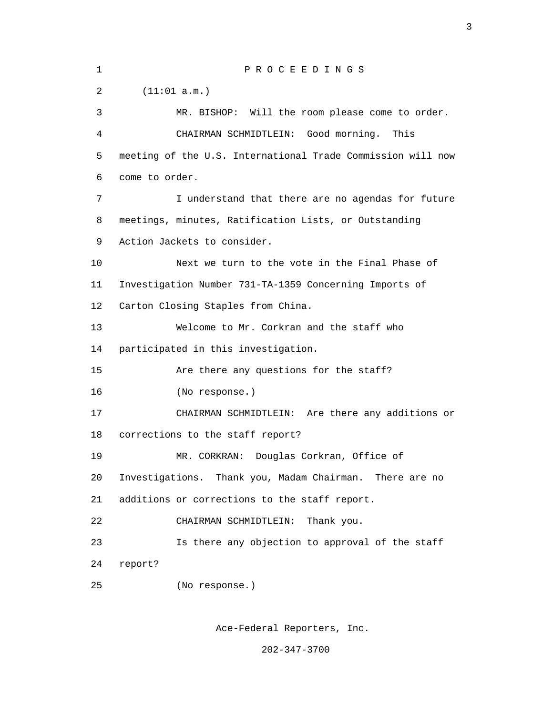1 P R O C E E D I N G S 2 (11:01 a.m.) 3 MR. BISHOP: Will the room please come to order. 4 CHAIRMAN SCHMIDTLEIN: Good morning. This 5 meeting of the U.S. International Trade Commission will now 6 come to order. 7 I understand that there are no agendas for future 8 meetings, minutes, Ratification Lists, or Outstanding 9 Action Jackets to consider. 10 Next we turn to the vote in the Final Phase of 11 Investigation Number 731-TA-1359 Concerning Imports of 12 Carton Closing Staples from China. 13 Welcome to Mr. Corkran and the staff who 14 participated in this investigation. 15 Are there any questions for the staff? 16 (No response.) 17 CHAIRMAN SCHMIDTLEIN: Are there any additions or 18 corrections to the staff report? 19 MR. CORKRAN: Douglas Corkran, Office of 20 Investigations. Thank you, Madam Chairman. There are no 21 additions or corrections to the staff report. 22 CHAIRMAN SCHMIDTLEIN: Thank you. 23 Is there any objection to approval of the staff 24 report? 25 (No response.)

<u>3</u>

Ace-Federal Reporters, Inc.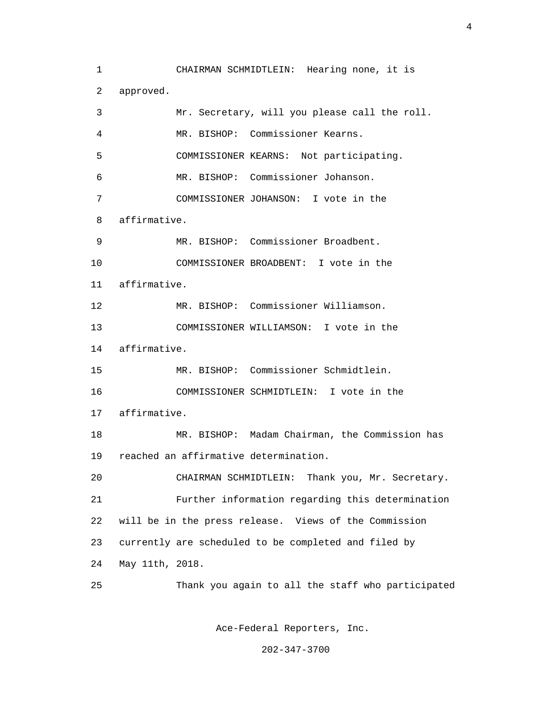1 CHAIRMAN SCHMIDTLEIN: Hearing none, it is 2 approved. 3 Mr. Secretary, will you please call the roll. 4 MR. BISHOP: Commissioner Kearns. 5 COMMISSIONER KEARNS: Not participating. 6 MR. BISHOP: Commissioner Johanson. 7 COMMISSIONER JOHANSON: I vote in the 8 affirmative. 9 MR. BISHOP: Commissioner Broadbent. 10 COMMISSIONER BROADBENT: I vote in the 11 affirmative. 12 MR. BISHOP: Commissioner Williamson. 13 COMMISSIONER WILLIAMSON: I vote in the 14 affirmative. 15 MR. BISHOP: Commissioner Schmidtlein. 16 COMMISSIONER SCHMIDTLEIN: I vote in the 17 affirmative. 18 MR. BISHOP: Madam Chairman, the Commission has 19 reached an affirmative determination. 20 CHAIRMAN SCHMIDTLEIN: Thank you, Mr. Secretary. 21 Further information regarding this determination 22 will be in the press release. Views of the Commission 23 currently are scheduled to be completed and filed by 24 May 11th, 2018. 25 Thank you again to all the staff who participated

Ace-Federal Reporters, Inc.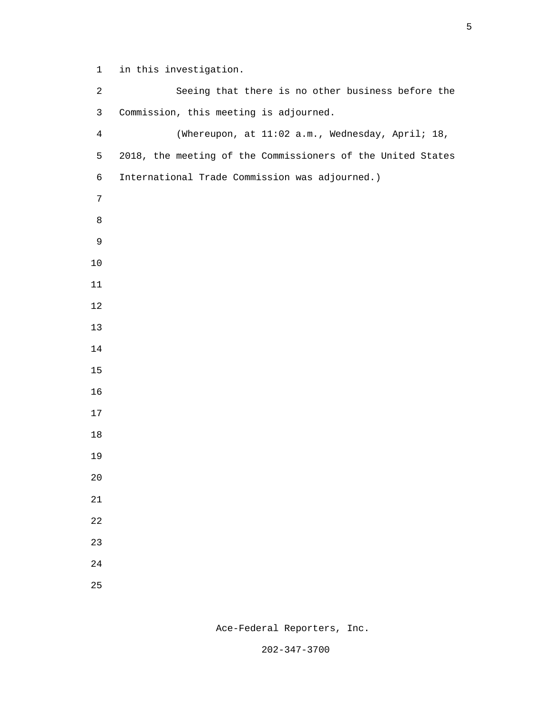1 in this investigation.

 2 Seeing that there is no other business before the 3 Commission, this meeting is adjourned. 4 (Whereupon, at 11:02 a.m., Wednesday, April; 18, 5 2018, the meeting of the Commissioners of the United States 6 International Trade Commission was adjourned.) e a seu a constantin de la Barca de la Barca de la Barca de la Barca de la Barca de la Barca de la Barca de la 

Ace-Federal Reporters, Inc.